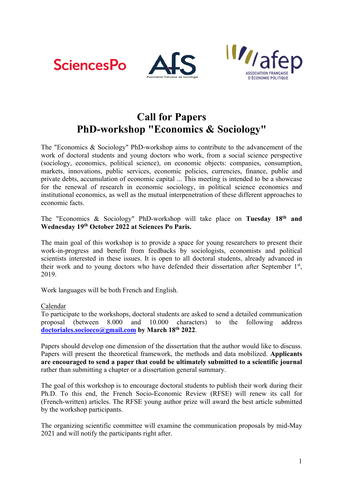





## **Call for Papers PhD-workshop "Economics & Sociology"**

The "Economics & Sociology" PhD-workshop aims to contribute to the advancement of the work of doctoral students and young doctors who work, from a social science perspective (sociology, economics, political science), on economic objects: companies, consumption, markets, innovations, public services, economic policies, currencies, finance, public and private debts, accumulation of economic capital ... This meeting is intended to be a showcase for the renewal of research in economic sociology, in political science economics and institutional economics, as well as the mutual interpenetration of these different approaches to economic facts.

The "Economics & Sociology" PhD-workshop will take place on **Tuesday 18th and Wednesday 19th October 2022 at Sciences Po Paris.**

The main goal of this workshop is to provide a space for young researchers to present their work-in-progress and benefit from feedbacks by sociologists, economists and political scientists interested in these issues. It is open to all doctoral students, already advanced in their work and to young doctors who have defended their dissertation after September 1<sup>st</sup>, 2019.

Work languages will be both French and English.

Calendar

To participate to the workshops, doctoral students are asked to send a detailed communication proposal (between 8.000 and 10.000 characters) to the following address **doctoriales.socioeco@gmail.com by March 18th 2022**.

Papers should develop one dimension of the dissertation that the author would like to discuss. Papers will present the theoretical framework, the methods and data mobilized. **Applicants are encouraged to send a paper that could be ultimately submitted to a scientific journal**  rather than submitting a chapter or a dissertation general summary.

The goal of this workshop is to encourage doctoral students to publish their work during their Ph.D. To this end, the French Socio-Economic Review (RFSE) will renew its call for (French-written) articles. The RFSE young author prize will award the best article submitted by the workshop participants.

The organizing scientific committee will examine the communication proposals by mid-May 2021 and will notify the participants right after.